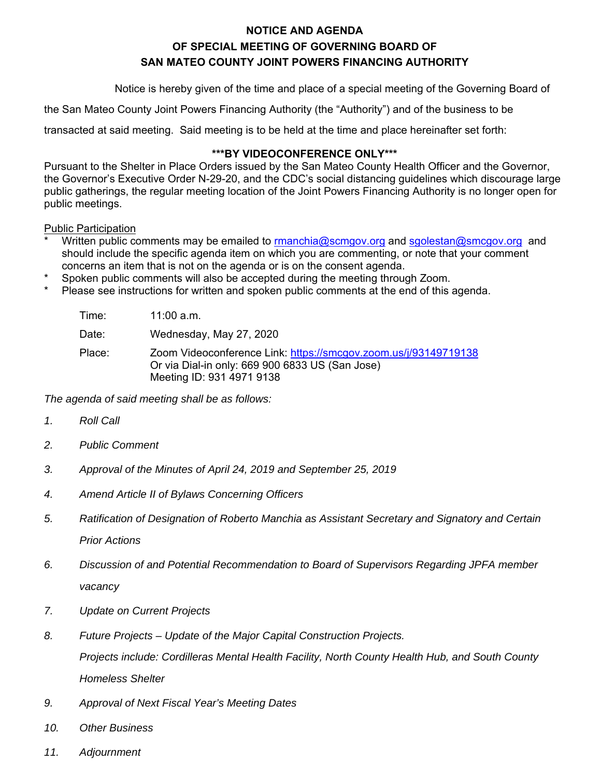## **NOTICE AND AGENDA OF SPECIAL MEETING OF GOVERNING BOARD OF SAN MATEO COUNTY JOINT POWERS FINANCING AUTHORITY**

Notice is hereby given of the time and place of a special meeting of the Governing Board of

the San Mateo County Joint Powers Financing Authority (the "Authority") and of the business to be

transacted at said meeting. Said meeting is to be held at the time and place hereinafter set forth:

#### **\*\*\*BY VIDEOCONFERENCE ONLY\*\*\***

Pursuant to the Shelter in Place Orders issued by the San Mateo County Health Officer and the Governor, the Governor's Executive Order N-29-20, and the CDC's social distancing guidelines which discourage large public gatherings, the regular meeting location of the Joint Powers Financing Authority is no longer open for public meetings.

Public Participation

- Written public comments may be emailed to rmanchia@scmgov.org and sgolestan@smcgov.org and should include the specific agenda item on which you are commenting, or note that your comment concerns an item that is not on the agenda or is on the consent agenda.
- Spoken public comments will also be accepted during the meeting through Zoom.
- Please see instructions for written and spoken public comments at the end of this agenda.

| Time:  | 11:00 a.m.                                                                                                                                      |
|--------|-------------------------------------------------------------------------------------------------------------------------------------------------|
| Date:  | Wednesday, May 27, 2020                                                                                                                         |
| Place: | Zoom Videoconference Link: https://smcgov.zoom.us/j/93149719138<br>Or via Dial-in only: 669 900 6833 US (San Jose)<br>Meeting ID: 931 4971 9138 |

*The agenda of said meeting shall be as follows:* 

- *1. Roll Call*
- *2. Public Comment*
- *3. Approval of the Minutes of April 24, 2019 and September 25, 2019*
- *4. Amend Article II of Bylaws Concerning Officers*
- *5. Ratification of Designation of Roberto Manchia as Assistant Secretary and Signatory and Certain Prior Actions*
- *6. Discussion of and Potential Recommendation to Board of Supervisors Regarding JPFA member vacancy*
- *7. Update on Current Projects*
- *8. Future Projects Update of the Major Capital Construction Projects. Projects include: Cordilleras Mental Health Facility, North County Health Hub, and South County Homeless Shelter*
- *9. Approval of Next Fiscal Year's Meeting Dates*
- *10. Other Business*
- *11. Adjournment*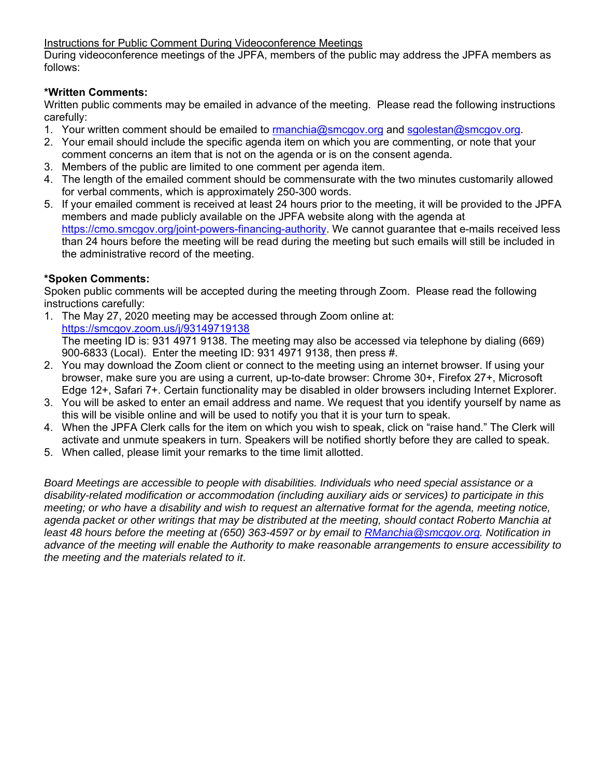Instructions for Public Comment During Videoconference Meetings

During videoconference meetings of the JPFA, members of the public may address the JPFA members as follows:

#### **\*Written Comments:**

Written public comments may be emailed in advance of the meeting. Please read the following instructions carefully:

- 1. Your written comment should be emailed to rmanchia@smcgov.org and sgolestan@smcgov.org.
- 2. Your email should include the specific agenda item on which you are commenting, or note that your comment concerns an item that is not on the agenda or is on the consent agenda.
- 3. Members of the public are limited to one comment per agenda item.
- 4. The length of the emailed comment should be commensurate with the two minutes customarily allowed for verbal comments, which is approximately 250-300 words.
- 5. If your emailed comment is received at least 24 hours prior to the meeting, it will be provided to the JPFA members and made publicly available on the JPFA website along with the agenda at https://cmo.smcgov.org/joint-powers-financing-authority. We cannot guarantee that e-mails received less than 24 hours before the meeting will be read during the meeting but such emails will still be included in the administrative record of the meeting.

#### **\*Spoken Comments:**

Spoken public comments will be accepted during the meeting through Zoom. Please read the following instructions carefully:

- 1. The May 27, 2020 meeting may be accessed through Zoom online at: https://smcgov.zoom.us/j/93149719138 The meeting ID is: 931 4971 9138. The meeting may also be accessed via telephone by dialing (669) 900-6833 (Local). Enter the meeting ID: 931 4971 9138, then press #.
- 2. You may download the Zoom client or connect to the meeting using an internet browser. If using your browser, make sure you are using a current, up-to-date browser: Chrome 30+, Firefox 27+, Microsoft Edge 12+, Safari 7+. Certain functionality may be disabled in older browsers including Internet Explorer.
- 3. You will be asked to enter an email address and name. We request that you identify yourself by name as this will be visible online and will be used to notify you that it is your turn to speak.
- 4. When the JPFA Clerk calls for the item on which you wish to speak, click on "raise hand." The Clerk will activate and unmute speakers in turn. Speakers will be notified shortly before they are called to speak.
- 5. When called, please limit your remarks to the time limit allotted.

*Board Meetings are accessible to people with disabilities. Individuals who need special assistance or a disability-related modification or accommodation (including auxiliary aids or services) to participate in this meeting; or who have a disability and wish to request an alternative format for the agenda, meeting notice, agenda packet or other writings that may be distributed at the meeting, should contact Roberto Manchia at least 48 hours before the meeting at (650) 363-4597 or by email to RManchia@smcgov.org. Notification in advance of the meeting will enable the Authority to make reasonable arrangements to ensure accessibility to the meeting and the materials related to it*.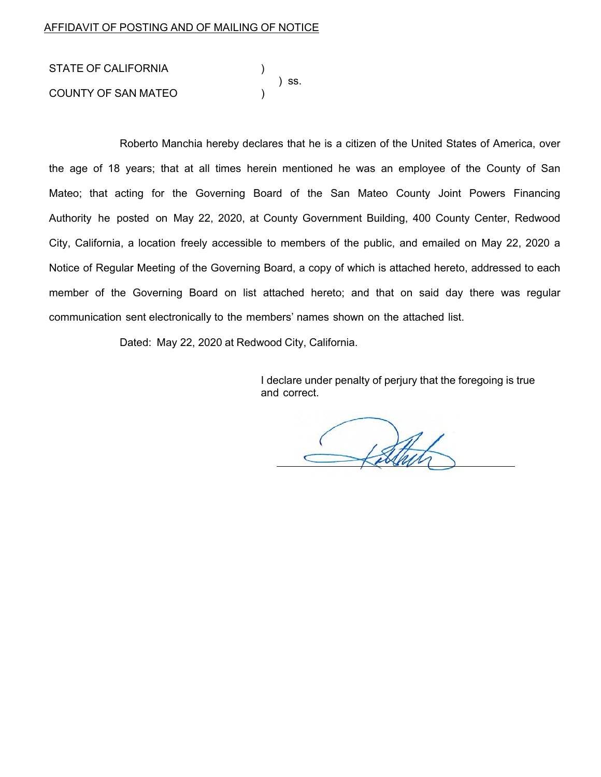| STATE OF CALIFORNIA        |  |       |  |
|----------------------------|--|-------|--|
| <b>COUNTY OF SAN MATEO</b> |  | ) SS. |  |

Roberto Manchia hereby declares that he is a citizen of the United States of America, over the age of 18 years; that at all times herein mentioned he was an employee of the County of San Mateo; that acting for the Governing Board of the San Mateo County Joint Powers Financing Authority he posted on May 22, 2020, at County Government Building, 400 County Center, Redwood City, California, a location freely accessible to members of the public, and emailed on May 22, 2020 a Notice of Regular Meeting of the Governing Board, a copy of which is attached hereto, addressed to each member of the Governing Board on list attached hereto; and that on said day there was regular communication sent electronically to the members' names shown on the attached list.

Dated: May 22, 2020 at Redwood City, California.

I declare under penalty of perjury that the foregoing is true and correct.

1sthet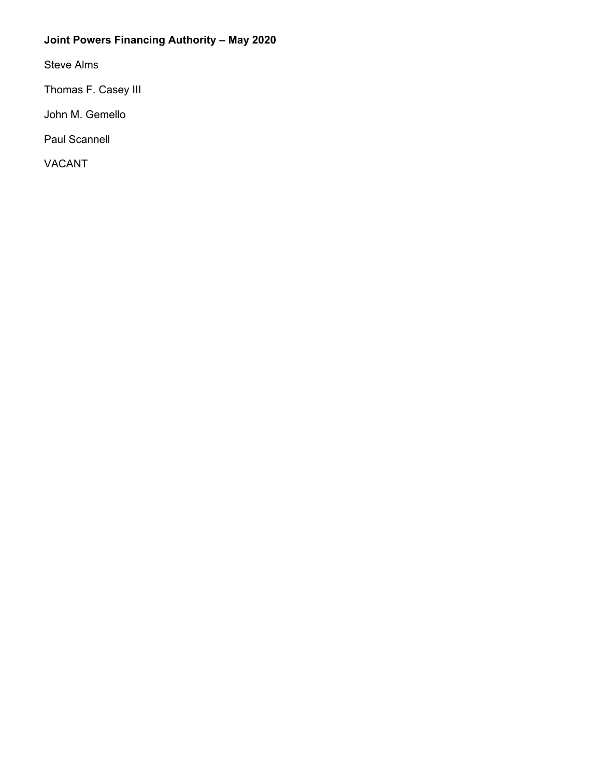## **Joint Powers Financing Authority – May 2020**

Steve Alms

Thomas F. Casey III

John M. Gemello

Paul Scannell

VACANT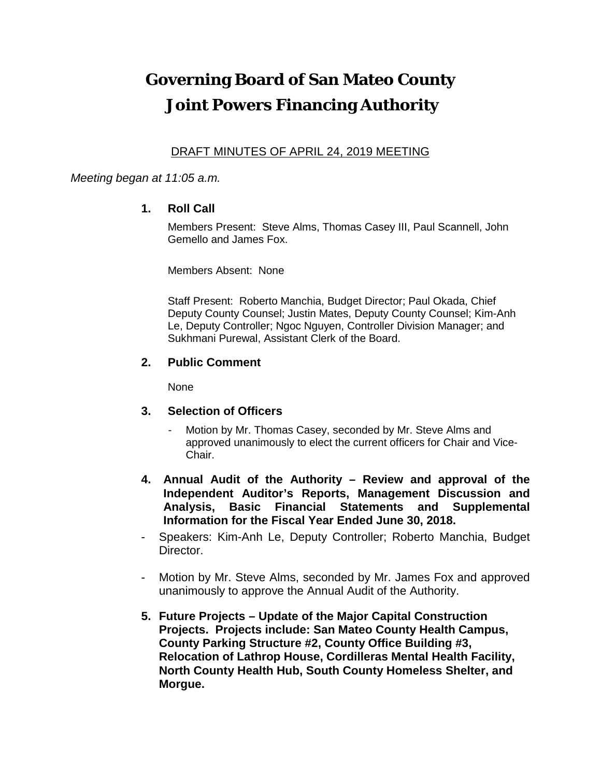# **Governing Board of San Mateo County Joint Powers Financing Authority**

### DRAFT MINUTES OF APRIL 24, 2019 MEETING

#### *Meeting began at 11:05 a.m.*

#### **1. Roll Call**

Members Present: Steve Alms, Thomas Casey III, Paul Scannell, John Gemello and James Fox.

Members Absent: None

Staff Present: Roberto Manchia, Budget Director; Paul Okada, Chief Deputy County Counsel; Justin Mates, Deputy County Counsel; Kim-Anh Le, Deputy Controller; Ngoc Nguyen, Controller Division Manager; and Sukhmani Purewal, Assistant Clerk of the Board.

#### **2. Public Comment**

None

- **3. Selection of Officers**
	- Motion by Mr. Thomas Casey, seconded by Mr. Steve Alms and approved unanimously to elect the current officers for Chair and Vice-Chair.
- **4. Annual Audit of the Authority – Review and approval of the Independent Auditor's Reports, Management Discussion and Analysis, Basic Financial Statements and Supplemental Information for the Fiscal Year Ended June 30, 2018.**
- Speakers: Kim-Anh Le, Deputy Controller; Roberto Manchia, Budget Director.
- Motion by Mr. Steve Alms, seconded by Mr. James Fox and approved unanimously to approve the Annual Audit of the Authority.
- **5. Future Projects – Update of the Major Capital Construction Projects. Projects include: San Mateo County Health Campus, County Parking Structure #2, County Office Building #3, Relocation of Lathrop House, Cordilleras Mental Health Facility, North County Health Hub, South County Homeless Shelter, and Morgue.**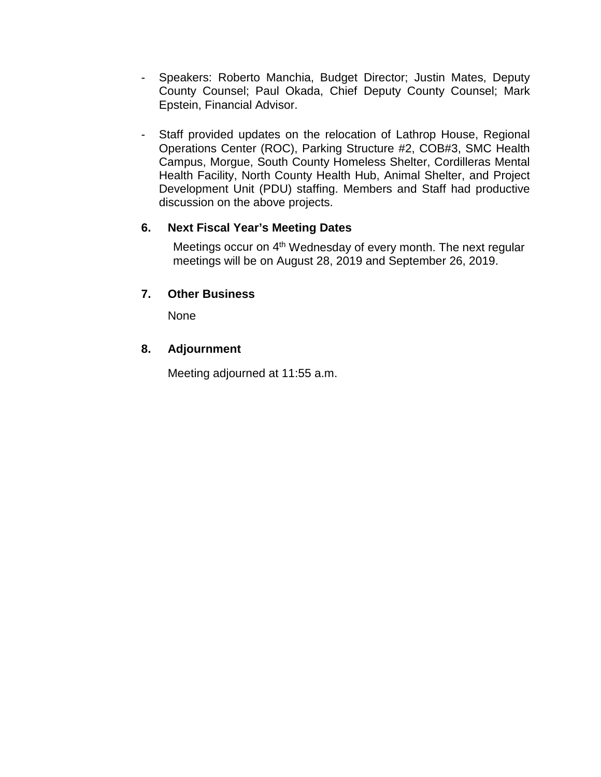- Speakers: Roberto Manchia, Budget Director; Justin Mates, Deputy County Counsel; Paul Okada, Chief Deputy County Counsel; Mark Epstein, Financial Advisor.
- Staff provided updates on the relocation of Lathrop House, Regional Operations Center (ROC), Parking Structure #2, COB#3, SMC Health Campus, Morgue, South County Homeless Shelter, Cordilleras Mental Health Facility, North County Health Hub, Animal Shelter, and Project Development Unit (PDU) staffing. Members and Staff had productive discussion on the above projects.

### **6. Next Fiscal Year's Meeting Dates**

Meetings occur on 4<sup>th</sup> Wednesday of every month. The next regular meetings will be on August 28, 2019 and September 26, 2019.

### **7. Other Business**

None

### **8. Adjournment**

Meeting adjourned at 11:55 a.m.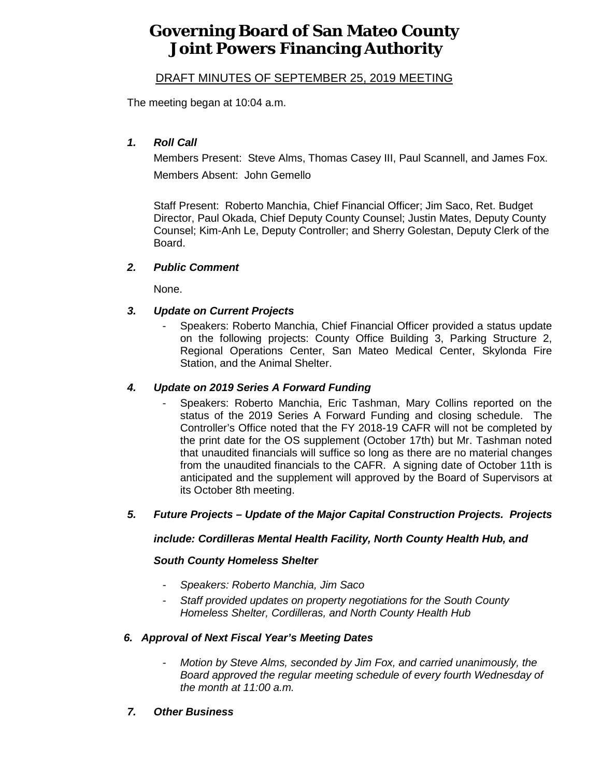## **Governing Board of San Mateo County Joint Powers Financing Authority**

#### DRAFT MINUTES OF SEPTEMBER 25, 2019 MEETING

The meeting began at 10:04 a.m.

#### *1. Roll Call*

Members Present: Steve Alms, Thomas Casey III, Paul Scannell, and James Fox. Members Absent: John Gemello

Staff Present: Roberto Manchia, Chief Financial Officer; Jim Saco, Ret. Budget Director, Paul Okada, Chief Deputy County Counsel; Justin Mates, Deputy County Counsel; Kim-Anh Le, Deputy Controller; and Sherry Golestan, Deputy Clerk of the Board.

#### *2. Public Comment*

None.

#### *3. Update on Current Projects*

- Speakers: Roberto Manchia, Chief Financial Officer provided a status update on the following projects: County Office Building 3, Parking Structure 2, Regional Operations Center, San Mateo Medical Center, Skylonda Fire Station, and the Animal Shelter.

#### *4. Update on 2019 Series A Forward Funding*

- Speakers: Roberto Manchia, Eric Tashman, Mary Collins reported on the status of the 2019 Series A Forward Funding and closing schedule. The Controller's Office noted that the FY 2018-19 CAFR will not be completed by the print date for the OS supplement (October 17th) but Mr. Tashman noted that unaudited financials will suffice so long as there are no material changes from the unaudited financials to the CAFR. A signing date of October 11th is anticipated and the supplement will approved by the Board of Supervisors at its October 8th meeting.

#### *5. Future Projects – Update of the Major Capital Construction Projects. Projects*

#### *include: Cordilleras Mental Health Facility, North County Health Hub, and*

#### *South County Homeless Shelter*

- *Speakers: Roberto Manchia, Jim Saco*
- *Staff provided updates on property negotiations for the South County Homeless Shelter, Cordilleras, and North County Health Hub*

#### *6. Approval of Next Fiscal Year's Meeting Dates*

- *Motion by Steve Alms, seconded by Jim Fox, and carried unanimously, the Board approved the regular meeting schedule of every fourth Wednesday of the month at 11:00 a.m.*
- *7. Other Business*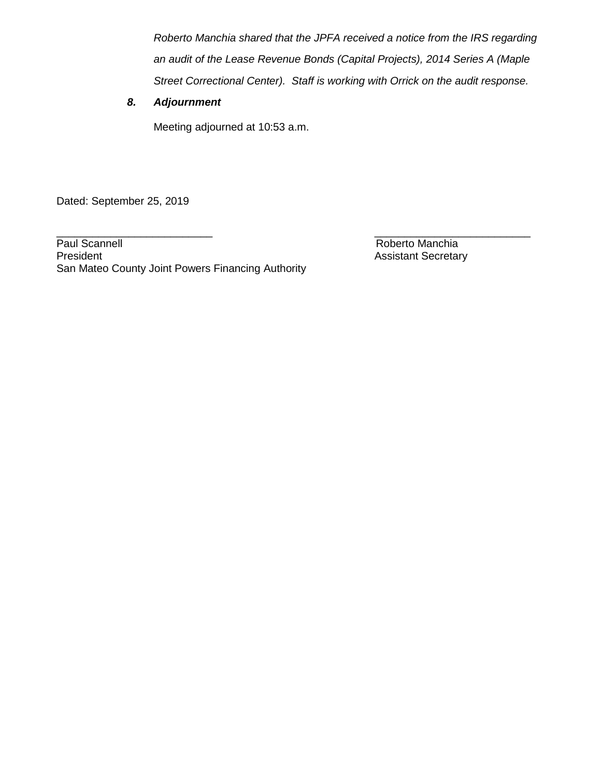*Roberto Manchia shared that the JPFA received a notice from the IRS regarding an audit of the Lease Revenue Bonds (Capital Projects), 2014 Series A (Maple Street Correctional Center). Staff is working with Orrick on the audit response.*

#### *8. Adjournment*

Meeting adjourned at 10:53 a.m.

Dated: September 25, 2019

Paul Scannell **Roberto Manchia**<br>President **Roberto Manchia**<br>President **Roberto** Manchia San Mateo County Joint Powers Financing Authority

\_\_\_\_\_\_\_\_\_\_\_\_\_\_\_\_\_\_\_\_\_\_\_\_\_\_ \_\_\_\_\_\_\_\_\_\_\_\_\_\_\_\_\_\_\_\_\_\_\_\_\_\_ **Assistant Secretary**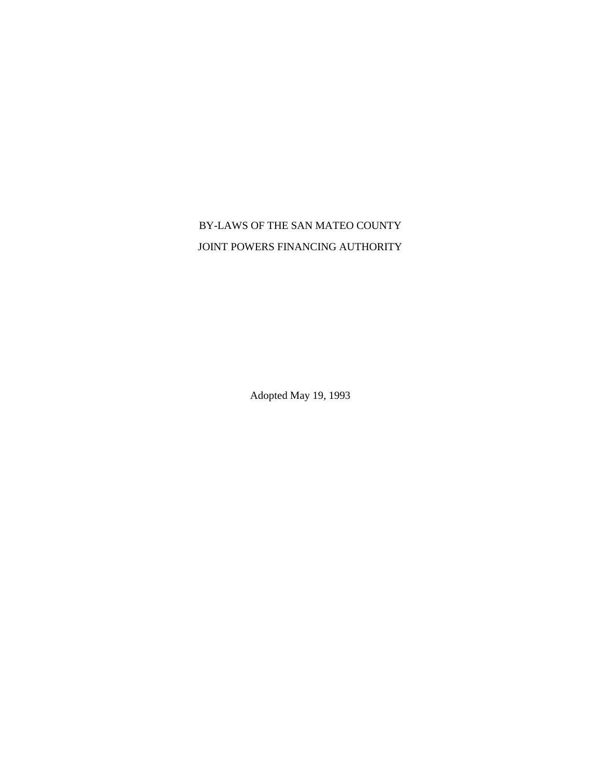## BY-LAWS OF THE SAN MATEO COUNTY JOINT POWERS FINANCING AUTHORITY

Adopted May 19, 1993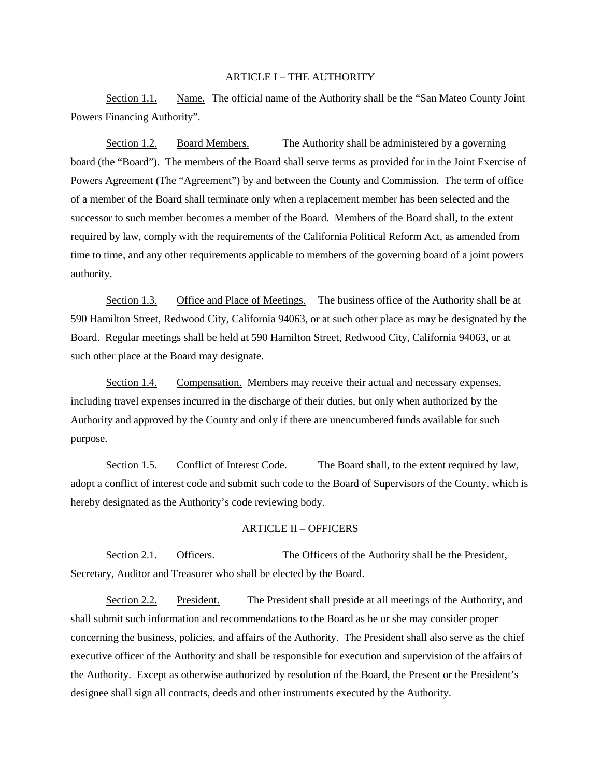#### ARTICLE I – THE AUTHORITY

Section 1.1. Name. The official name of the Authority shall be the "San Mateo County Joint Powers Financing Authority".

Section 1.2. Board Members. The Authority shall be administered by a governing board (the "Board"). The members of the Board shall serve terms as provided for in the Joint Exercise of Powers Agreement (The "Agreement") by and between the County and Commission. The term of office of a member of the Board shall terminate only when a replacement member has been selected and the successor to such member becomes a member of the Board. Members of the Board shall, to the extent required by law, comply with the requirements of the California Political Reform Act, as amended from time to time, and any other requirements applicable to members of the governing board of a joint powers authority.

Section 1.3. Office and Place of Meetings. The business office of the Authority shall be at 590 Hamilton Street, Redwood City, California 94063, or at such other place as may be designated by the Board. Regular meetings shall be held at 590 Hamilton Street, Redwood City, California 94063, or at such other place at the Board may designate.

Section 1.4. Compensation. Members may receive their actual and necessary expenses, including travel expenses incurred in the discharge of their duties, but only when authorized by the Authority and approved by the County and only if there are unencumbered funds available for such purpose.

Section 1.5. Conflict of Interest Code. The Board shall, to the extent required by law, adopt a conflict of interest code and submit such code to the Board of Supervisors of the County, which is hereby designated as the Authority's code reviewing body.

#### ARTICLE II – OFFICERS

Section 2.1. Officers. The Officers of the Authority shall be the President, Secretary, Auditor and Treasurer who shall be elected by the Board.

Section 2.2. President. The President shall preside at all meetings of the Authority, and shall submit such information and recommendations to the Board as he or she may consider proper concerning the business, policies, and affairs of the Authority. The President shall also serve as the chief executive officer of the Authority and shall be responsible for execution and supervision of the affairs of the Authority. Except as otherwise authorized by resolution of the Board, the Present or the President's designee shall sign all contracts, deeds and other instruments executed by the Authority.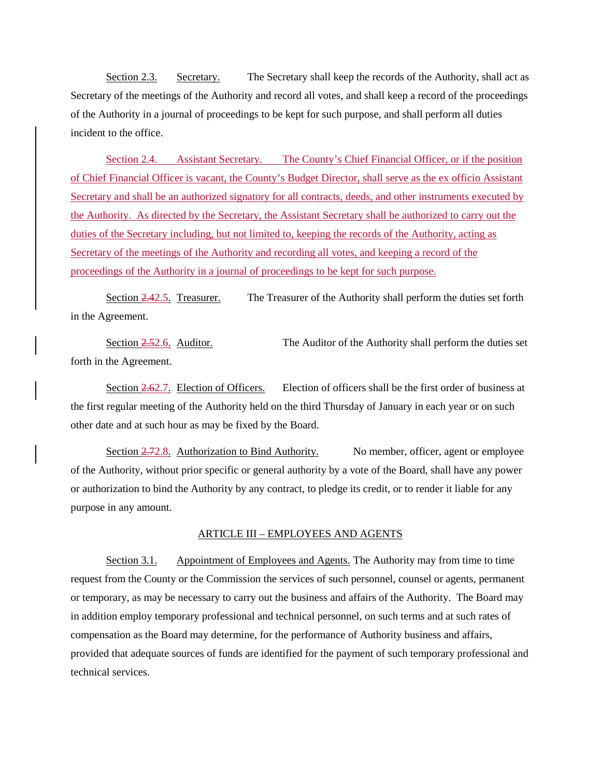Section 2.3. Secretary. The Secretary shall keep the records of the Authority, shall act as Secretary of the meetings of the Authority and record all votes, and shall keep a record of the proceedings of the Authority in a journal of proceedings to be kept for such purpose, and shall perform all duties incident to the office.

Section 2.4. Assistant Secretary. The County's Chief Financial Officer, or if the position of Chief Financial Officer is vacant, the County's Budget Director, shall serve as the ex officio Assistant Secretary and shall be an authorized signatory for all contracts, deeds, and other instruments executed by the Authority. As directed by the Secretary, the Assistant Secretary shall be authorized to carry out the duties of the Secretary including, but not limited to, keeping the records of the Authority, acting as Secretary of the meetings of the Authority and recording all votes, and keeping a record of the proceedings of the Authority in a journal of proceedings to be kept for such purpose.

Section 2.42.5. Treasurer. The Treasurer of the Authority shall perform the duties set forth in the Agreement.

Section 2.52.6. Auditor. The Auditor of the Authority shall perform the duties set forth in the Agreement.

Section  $2.62.7$ . Election of Officers. Election of officers shall be the first order of business at the first regular meeting of the Authority held on the third Thursday of January in each year or on such other date and at such hour as may be fixed by the Board.

Section 2.72.8. Authorization to Bind Authority. No member, officer, agent or employee of the Authority, without prior specific or general authority by a vote of the Board, shall have any power or authorization to bind the Authority by any contract, to pledge its credit, or to render it liable for any purpose in any amount.

#### ARTICLE III – EMPLOYEES AND AGENTS

Section 3.1. Appointment of Employees and Agents. The Authority may from time to time request from the County or the Commission the services of such personnel, counsel or agents, permanent or temporary, as may be necessary to carry out the business and affairs of the Authority. The Board may in addition employ temporary professional and technical personnel, on such terms and at such rates of compensation as the Board may determine, for the performance of Authority business and affairs, provided that adequate sources of funds are identified for the payment of such temporary professional and technical services.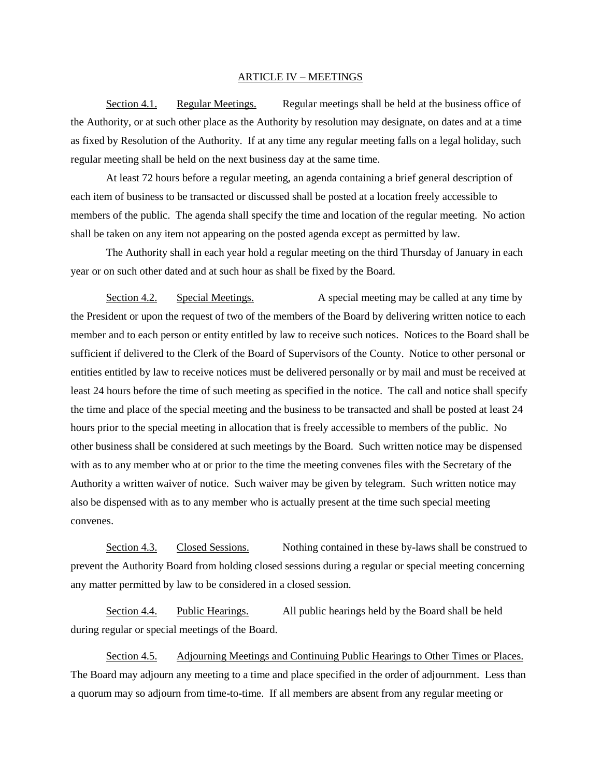#### ARTICLE IV – MEETINGS

Section 4.1. Regular Meetings. Regular meetings shall be held at the business office of the Authority, or at such other place as the Authority by resolution may designate, on dates and at a time as fixed by Resolution of the Authority. If at any time any regular meeting falls on a legal holiday, such regular meeting shall be held on the next business day at the same time.

At least 72 hours before a regular meeting, an agenda containing a brief general description of each item of business to be transacted or discussed shall be posted at a location freely accessible to members of the public. The agenda shall specify the time and location of the regular meeting. No action shall be taken on any item not appearing on the posted agenda except as permitted by law.

The Authority shall in each year hold a regular meeting on the third Thursday of January in each year or on such other dated and at such hour as shall be fixed by the Board.

Section 4.2. Special Meetings. A special meeting may be called at any time by the President or upon the request of two of the members of the Board by delivering written notice to each member and to each person or entity entitled by law to receive such notices. Notices to the Board shall be sufficient if delivered to the Clerk of the Board of Supervisors of the County. Notice to other personal or entities entitled by law to receive notices must be delivered personally or by mail and must be received at least 24 hours before the time of such meeting as specified in the notice. The call and notice shall specify the time and place of the special meeting and the business to be transacted and shall be posted at least 24 hours prior to the special meeting in allocation that is freely accessible to members of the public. No other business shall be considered at such meetings by the Board. Such written notice may be dispensed with as to any member who at or prior to the time the meeting convenes files with the Secretary of the Authority a written waiver of notice. Such waiver may be given by telegram. Such written notice may also be dispensed with as to any member who is actually present at the time such special meeting convenes.

Section 4.3. Closed Sessions. Nothing contained in these by-laws shall be construed to prevent the Authority Board from holding closed sessions during a regular or special meeting concerning any matter permitted by law to be considered in a closed session.

Section 4.4. Public Hearings. All public hearings held by the Board shall be held during regular or special meetings of the Board.

Section 4.5. Adjourning Meetings and Continuing Public Hearings to Other Times or Places. The Board may adjourn any meeting to a time and place specified in the order of adjournment. Less than a quorum may so adjourn from time-to-time. If all members are absent from any regular meeting or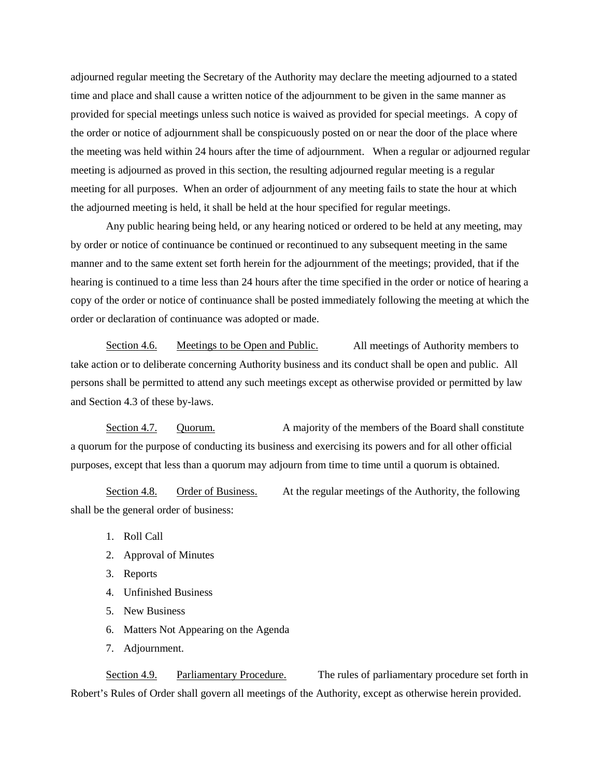adjourned regular meeting the Secretary of the Authority may declare the meeting adjourned to a stated time and place and shall cause a written notice of the adjournment to be given in the same manner as provided for special meetings unless such notice is waived as provided for special meetings. A copy of the order or notice of adjournment shall be conspicuously posted on or near the door of the place where the meeting was held within 24 hours after the time of adjournment. When a regular or adjourned regular meeting is adjourned as proved in this section, the resulting adjourned regular meeting is a regular meeting for all purposes. When an order of adjournment of any meeting fails to state the hour at which the adjourned meeting is held, it shall be held at the hour specified for regular meetings.

Any public hearing being held, or any hearing noticed or ordered to be held at any meeting, may by order or notice of continuance be continued or recontinued to any subsequent meeting in the same manner and to the same extent set forth herein for the adjournment of the meetings; provided, that if the hearing is continued to a time less than 24 hours after the time specified in the order or notice of hearing a copy of the order or notice of continuance shall be posted immediately following the meeting at which the order or declaration of continuance was adopted or made.

Section 4.6. Meetings to be Open and Public. All meetings of Authority members to take action or to deliberate concerning Authority business and its conduct shall be open and public. All persons shall be permitted to attend any such meetings except as otherwise provided or permitted by law and Section 4.3 of these by-laws.

Section 4.7. Quorum. A majority of the members of the Board shall constitute a quorum for the purpose of conducting its business and exercising its powers and for all other official purposes, except that less than a quorum may adjourn from time to time until a quorum is obtained.

Section 4.8. Order of Business. At the regular meetings of the Authority, the following shall be the general order of business:

- 1. Roll Call
- 2. Approval of Minutes
- 3. Reports
- 4. Unfinished Business
- 5. New Business
- 6. Matters Not Appearing on the Agenda
- 7. Adjournment.

Section 4.9. Parliamentary Procedure. The rules of parliamentary procedure set forth in Robert's Rules of Order shall govern all meetings of the Authority, except as otherwise herein provided.